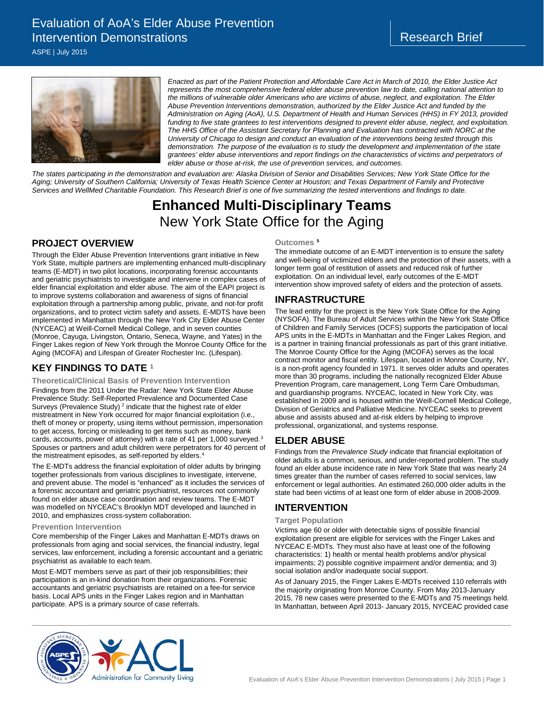# Evaluation of AoA's Elder Abuse Prevention Intervention Demonstrations

ASPE | July 2015



*Enacted as part of the Patient Protection and Affordable Care Act in March of 2010, the Elder Justice Act represents the most comprehensive federal elder abuse prevention law to date, calling national attention to the millions of vulnerable older Americans who are victims of abuse, neglect, and exploitation. The Elder Abuse Prevention Interventions demonstration, authorized by the Elder Justice Act and funded by the Administration on Aging (AoA), U.S. Department of Health and Human Services (HHS) in FY 2013, provided*  funding to five state grantees to test interventions designed to prevent elder abuse, neglect, and exploitation. *The HHS Office of the Assistant Secretary for Planning and Evaluation has contracted with NORC at the University of Chicago to design and conduct an evaluation of the interventions being tested through this demonstration. The purpose of the evaluation is to study the development and implementation of the state grantees' elder abuse interventions and report findings on the characteristics of victims and perpetrators of elder abuse or those at-risk, the use of prevention services, and outcomes.* 

*The states participating in the demonstration and evaluation are: Alaska Division of Senior and Disabilities Services; New York State Office for the Aging; University of Southern California; University of Texas Health Science Center at Houston; and Texas Department of Family and Protective Services and WellMed Charitable Foundation. This Research Brief is one of five summarizing the tested interventions and findings to date.*

# **Enhanced Multi-Disciplinary Teams**  New York State Office for the Aging

# **PROJECT OVERVIEW**

Through the Elder Abuse Prevention Interventions grant initiative in New York State, multiple partners are implementing enhanced multi-disciplinary teams (E-MDT) in two pilot locations, incorporating forensic accountants and geriatric psychiatrists to investigate and intervene in complex cases of elder financial exploitation and elder abuse. The aim of the EAPI project is to improve systems collaboration and awareness of signs of financial exploitation through a partnership among public, private, and not-for profit organizations, and to protect victim safety and assets. E-MDTS have been implemented in Manhattan through the New York City Elder Abuse Center (NYCEAC) at Weill-Cornell Medical College, and in seven counties (Monroe, Cayuga, Livingston, Ontario, Seneca, Wayne, and Yates) in the Finger Lakes region of New York through the Monroe County Office for the Aging (MCOFA) and Lifespan of Greater Rochester Inc. (Lifespan).

# **KEY FINDINGS TO DATE** [1](#page-1-0)

**Theoretical/Clinical Basis of Prevention Intervention** 

Findings from the 2011 Under the Radar: New York State Elder Abuse Prevalence Study: Self-Reported Prevalence and Documented Case Surveys (Prevalence Study)<sup>[2](#page-1-1)</sup> indicate that the highest rate of elder mistreatment in New York occurred for major financial exploitation (i.e., theft of money or property, using items without permission, impersonation to get access, forcing or misleading to get items such as money, bank cards, accounts, power of attorney) with a rate of 41 per 1,000 surveyed.[3](#page-1-2) Spouses or partners and adult children were perpetrators for 40 percent of the mistreatment episodes, as self-reported by elders.<sup>[4](#page-1-3)</sup>

The E-MDTs address the financial exploitation of older adults by bringing together professionals from various disciplines to investigate, intervene, and prevent abuse. The model is "enhanced" as it includes the services of a forensic accountant and geriatric psychiatrist, resources not commonly found on elder abuse case coordination and review teams. The E-MDT was modelled on NYCEAC's Brooklyn MDT developed and launched in 2010, and emphasizes cross-system collaboration.

#### **Prevention Intervention**

Core membership of the Finger Lakes and Manhattan E-MDTs draws on professionals from aging and social services, the financial industry, legal services, law enforcement, including a forensic accountant and a geriatric psychiatrist as available to each team.

Most E-MDT members serve as part of their job responsibilities; their participation is an in-kind donation from their organizations. Forensic accountants and geriatric psychiatrists are retained on a fee-for service basis. Local APS units in the Finger Lakes region and in Manhattan participate. APS is a primary source of case referrals.

#### **Outcomes [5](#page-1-4)**

The immediate outcome of an E-MDT intervention is to ensure the safety and well-being of victimized elders and the protection of their assets, with a longer term goal of restitution of assets and reduced risk of further exploitation. On an individual level, early outcomes of the E-MDT intervention show improved safety of elders and the protection of assets.

## **INFRASTRUCTURE**

The lead entity for the project is the New York State Office for the Aging (NYSOFA). The Bureau of Adult Services within the New York State Office of Children and Family Services (OCFS) supports the participation of local APS units in the E-MDTs in Manhattan and the Finger Lakes Region, and is a partner in training financial professionals as part of this grant initiative. The Monroe County Office for the Aging (MCOFA) serves as the local contract monitor and fiscal entity. Lifespan, located in Monroe County, NY, is a non-profit agency founded in 1971. It serves older adults and operates more than 30 programs, including the nationally recognized Elder Abuse Prevention Program, care management, Long Term Care Ombudsman, and guardianship programs. NYCEAC, located in New York City, was established in 2009 and is housed within the Weill-Cornell Medical College, Division of Geriatrics and Palliative Medicine. NYCEAC seeks to prevent abuse and assists abused and at-risk elders by helping to improve professional, organizational, and systems response.

### **ELDER ABUSE**

Findings from the *Prevalence Study* indicate that financial exploitation of older adults is a common, serious, and under-reported problem. The study found an elder abuse incidence rate in New York State that was nearly 24 times greater than the number of cases referred to social services, law enforcement or legal authorities. An estimated 260,000 older adults in the state had been victims of at least one form of elder abuse in 2008-2009.

### **INTERVENTION**

#### **Target Population**

Victims age 60 or older with detectable signs of possible financial exploitation present are eligible for services with the Finger Lakes and NYCEAC E-MDTs. They must also have at least one of the following characteristics: 1) health or mental health problems and/or physical impairments; 2) possible cognitive impairment and/or dementia; and 3) social isolation and/or inadequate social support.

As of January 2015, the Finger Lakes E-MDTs received 110 referrals with the majority originating from Monroe County. From May 2013-January 2015, 78 new cases were presented to the E-MDTs and 75 meetings held. In Manhattan, between April 2013- January 2015, NYCEAC provided case